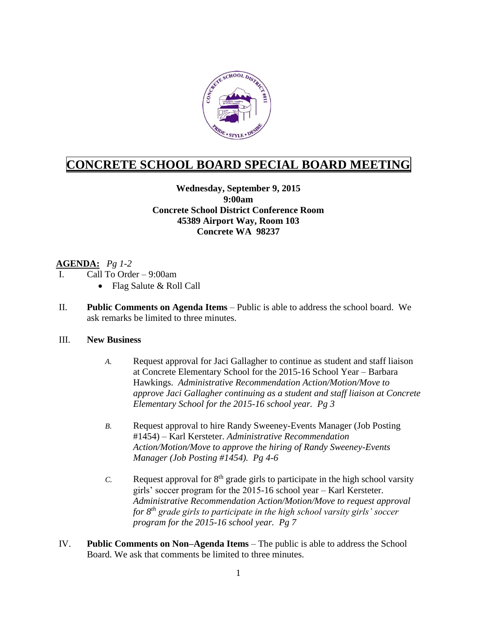

# **CONCRETE SCHOOL BOARD SPECIAL BOARD MEETING**

### **Wednesday, September 9, 2015 9:00am Concrete School District Conference Room 45389 Airport Way, Room 103 Concrete WA 98237**

# **AGENDA:** *Pg 1-2*

- Call To Order 9:00am
	- Flag Salute & Roll Call
- II. **Public Comments on Agenda Items** Public is able to address the school board. We ask remarks be limited to three minutes.

#### III. **New Business**

- *A.* Request approval for Jaci Gallagher to continue as student and staff liaison at Concrete Elementary School for the 2015-16 School Year – Barbara Hawkings. *Administrative Recommendation Action/Motion/Move to approve Jaci Gallagher continuing as a student and staff liaison at Concrete Elementary School for the 2015-16 school year. Pg 3*
- *B.* Request approval to hire Randy Sweeney-Events Manager (Job Posting #1454) – Karl Kersteter. *Administrative Recommendation Action/Motion/Move to approve the hiring of Randy Sweeney-Events Manager (Job Posting #1454). Pg 4-6*
- *C.* Request approval for  $8<sup>th</sup>$  grade girls to participate in the high school varsity girls' soccer program for the 2015-16 school year – Karl Kersteter. *Administrative Recommendation Action/Motion/Move to request approval for 8th grade girls to participate in the high school varsity girls' soccer program for the 2015-16 school year. Pg 7*
- IV. **Public Comments on Non–Agenda Items** The public is able to address the School Board. We ask that comments be limited to three minutes.